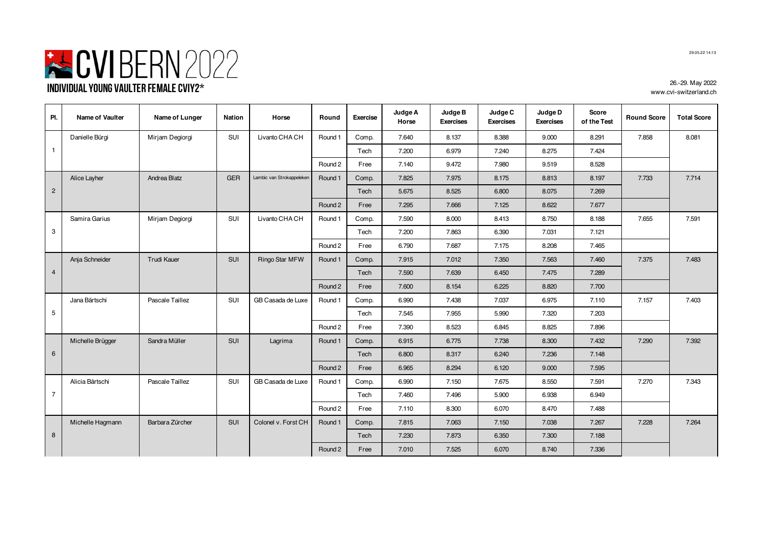

**Pl. Name of Vaulter Name of Lunger Nation Horse Round Exercise Judge A Horse Judge B Exercises Judge C Exercises Judge D Exercises Score of the Test Round Score Total Score** Danielle Bürgi | Mirjam Degiorgi | SUI | Livanto CHA CH | Round 1 | Comp. | 7.640 | 8.137 | 8.388 | 9.000 | 8.291 | 7.858 | 8.081 Tech 7.200 6.979 7.240 8.275 7.424 Round 2 Free 7.140 | 9.472 | 7.980 | 9.519 | 8.528 Alice Layher | Andrea Blatz | GER | Lambic van Strokappeleken | Round 1 | Comp. | 7.825 | 7.975 | 8.175 | 8.813 | 8.197 | 7.733 | 7.714 Tech | 5.675 | 8.525 | 6.800 | 8.075 | 7.269 Round 2 | Free | 7.295 | 7.666 | 7.125 | 8.622 | 7.677 Samira Garius | Mirjam Degiorgi | SUI | Livanto CHA CH | Round 1 | Comp. | 7.590 | 8.000 | 8.413 | 8.750 | 8.188 | 7.655 | 7.591 Tech | 7.200 | 7.863 | 6.390 | 7.031 | 7.121 Round 2 Free 6.790 | 7.687 | 7.175 | 8.208 | 7.465 Anja Schneider | Trudi Kauer | SUI | Ringo Star MFW | Round 1 | Comp. | 7.915 | 7.012 | 7.350 | 7.563 | 7.460 | 7.375 | 7.483 Tech | 7.590 | 7.639 | 6.450 | 7.475 | 7.289 Round 2 | Free | 7.600 | 8.154 | 6.225 | 8.820 | 7.700 Jana Bärtschi | Pascale Taillez | SUI | GB Casada de Luxe | Round 1 | Comp. | 6.990 | 7.438 | 7.037 | 6.975 | 7.110 | 7.157 | 7.403 Tech 7.545 7.955 5.990 7.320 7.203 Round 2 | Free | 7.390 | 8.523 | 6.845 | 8.825 | 7.896 Michelle Brügger | Sandra Müller | SUI | Lagrima | Round 1 Comp. | 6.915 | 6.775 | 7.738 | 8.300 | 7.432 | 7.290 | 7.392 Tech | 6.800 | 8.317 | 6.240 | 7.236 | 7.148 Round 2 | Free | 6.965 | 8.294 | 6.120 | 9.000 | 7.595 Alicia Bärtschi | Pascale Taillez | SUI | GB Casada de Luxe | Round 1 | Comp. | 6.990 | 7.150 | 7.675 | 8.550 | 7.591 | 7.270 | 7.343 Tech 7.460 7.496 5.900 6.938 6.949 Round 2 Free 7.110 6.300 6.070 8.470 7.488 Michelle Hagmann | Barbara Zürcher | SUI | Colonel v. Forst CH | Round 1 | Comp. | 7.815 | 7.063 | 7.150 | 7.038 | 7.267 | 7.228 | 7.264 Tech | 7.230 | 7.873 | 6.350 | 7.300 | 7.188 Round 2 | Free | 7.010 | 7.525 | 6.070 | 8.740 | 7.336 7 8 4 5 6 1 2 3

29.05.22 14:13

26.-29. May 2022 www.cvi-switzerland.ch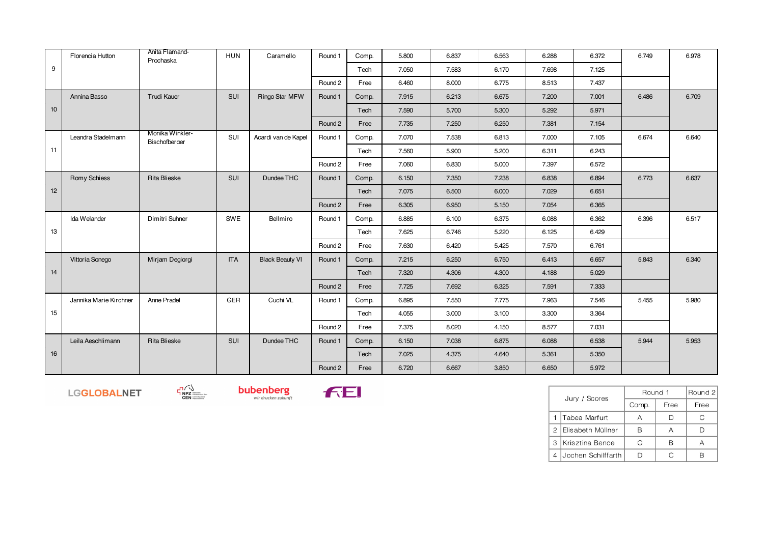|    | Florencia Hutton       | Anita Flamand-<br>Prochaska             | <b>HUN</b> | Caramello              | Round 1 | Comp. | 5.800 | 6.837 | 6.563 | 6.288 | 6.372 | 6.749 | 6.978 |
|----|------------------------|-----------------------------------------|------------|------------------------|---------|-------|-------|-------|-------|-------|-------|-------|-------|
| 9  |                        |                                         |            |                        |         | Tech  | 7.050 | 7.583 | 6.170 | 7.698 | 7.125 |       |       |
|    |                        |                                         |            |                        | Round 2 | Free  | 6.460 | 8.000 | 6.775 | 8.513 | 7.437 |       |       |
|    | Annina Basso           | <b>Trudi Kauer</b>                      | SUI        | <b>Ringo Star MFW</b>  | Round 1 | Comp. | 7.915 | 6.213 | 6.675 | 7.200 | 7.001 | 6.486 | 6.709 |
| 10 |                        |                                         |            |                        |         | Tech  | 7.590 | 5.700 | 5.300 | 5.292 | 5.971 |       |       |
|    |                        |                                         |            |                        | Round 2 | Free  | 7.735 | 7.250 | 6.250 | 7.381 | 7.154 |       |       |
|    | Leandra Stadelmann     | Monika Winkler-<br><b>Bischofberger</b> | SUI        | Acardi van de Kapel    | Round 1 | Comp. | 7.070 | 7.538 | 6.813 | 7.000 | 7.105 | 6.674 | 6.640 |
| 11 |                        |                                         |            |                        |         | Tech  | 7.560 | 5.900 | 5.200 | 6.311 | 6.243 |       |       |
|    |                        |                                         |            |                        | Round 2 | Free  | 7.060 | 6.830 | 5.000 | 7.397 | 6.572 |       |       |
|    | Romy Schiess           | <b>Rita Blieske</b>                     | SUI        | Dundee THC             | Round 1 | Comp. | 6.150 | 7.350 | 7.238 | 6.838 | 6.894 | 6.773 | 6.637 |
| 12 |                        |                                         |            |                        |         | Tech  | 7.075 | 6.500 | 6.000 | 7.029 | 6.651 |       |       |
|    |                        |                                         |            |                        | Round 2 | Free  | 6.305 | 6.950 | 5.150 | 7.054 | 6.365 |       |       |
|    | Ida Welander           | Dimitri Suhner                          | SWE        | Bellmiro               | Round 1 | Comp. | 6.885 | 6.100 | 6.375 | 6.088 | 6.362 | 6.396 | 6.517 |
| 13 |                        |                                         |            |                        |         | Tech  | 7.625 | 6.746 | 5.220 | 6.125 | 6.429 |       |       |
|    |                        |                                         |            |                        | Round 2 | Free  | 7.630 | 6.420 | 5.425 | 7.570 | 6.761 |       |       |
|    | Vittoria Sonego        | Mirjam Degiorgi                         | <b>ITA</b> | <b>Black Beauty VI</b> | Round 1 | Comp. | 7.215 | 6.250 | 6.750 | 6.413 | 6.657 | 5.843 | 6.340 |
| 14 |                        |                                         |            |                        |         | Tech  | 7.320 | 4.306 | 4.300 | 4.188 | 5.029 |       |       |
|    |                        |                                         |            |                        | Round 2 | Free  | 7.725 | 7.692 | 6.325 | 7.591 | 7.333 |       |       |
|    | Jannika Marie Kirchner | Anne Pradel                             | GER        | Cuchi VL               | Round 1 | Comp. | 6.895 | 7.550 | 7.775 | 7.963 | 7.546 | 5.455 | 5.980 |
| 15 |                        |                                         |            |                        |         | Tech  | 4.055 | 3.000 | 3.100 | 3.300 | 3.364 |       |       |
|    |                        |                                         |            |                        | Round 2 | Free  | 7.375 | 8.020 | 4.150 | 8.577 | 7.031 |       |       |
|    | Leila Aeschlimann      | <b>Rita Blieske</b>                     | SUI        | Dundee THC             | Round 1 | Comp. | 6.150 | 7.038 | 6.875 | 6.088 | 6.538 | 5.944 | 5.953 |
| 16 |                        |                                         |            |                        |         | Tech  | 7.025 | 4.375 | 4.640 | 5.361 | 5.350 |       |       |
|    |                        |                                         |            |                        | Round 2 | Free  | 6.720 | 6.667 | 3.850 | 6.650 | 5.972 |       |       |

LGGLOBALNET



 $\neg\neg\neg\n\begin{array}{c}\n\Box \\
\Box\n\end{array}\n\qquad\neg\neg\n\begin{array}{c}\n\Box \\
\Box\n\end{array}$  CEN



|                | Jury / Scores      | Round 1 | Round 2 |      |
|----------------|--------------------|---------|---------|------|
|                |                    | Comp.   | Free    | Free |
|                | Tabea Marfurt      |         |         |      |
| $\mathcal{P}$  | Elisabeth Müllner  | R       | А       |      |
| 3              | Krisztina Bence    | C.      | R       |      |
| $\overline{4}$ | Jochen Schilffarth |         | C       |      |